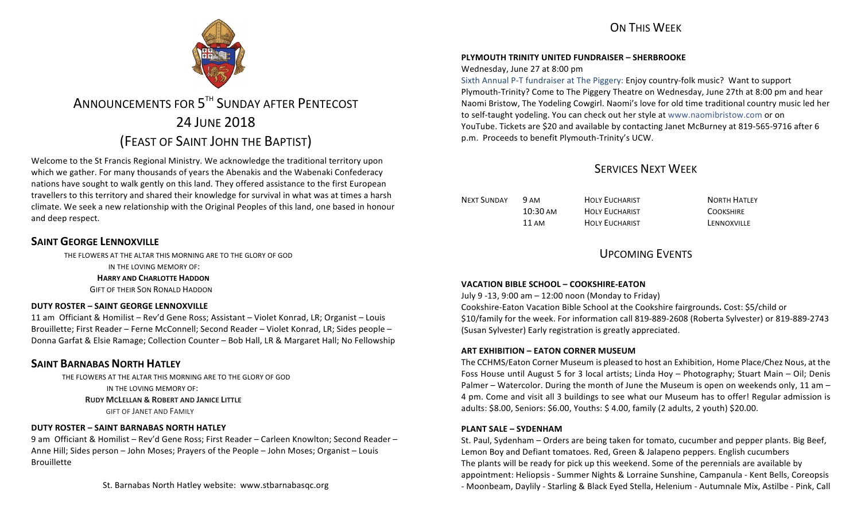## ON THIS WFFK



# ANNOUNCEMENTS FOR 5<sup>TH</sup> SUNDAY AFTER PENTECOST 24 JUNE 2018 (FEAST OF SAINT JOHN THE BAPTIST)

Welcome to the St Francis Regional Ministry. We acknowledge the traditional territory upon which we gather. For many thousands of years the Abenakis and the Wabenaki Confederacy nations have sought to walk gently on this land. They offered assistance to the first European travellers to this territory and shared their knowledge for survival in what was at times a harsh climate. We seek a new relationship with the Original Peoples of this land, one based in honour and deep respect.

### **SAINT GEORGE LENNOXVILLE**

THE FLOWERS AT THE ALTAR THIS MORNING ARE TO THE GLORY OF GOD

IN THE LOVING MEMORY OF:

#### **HARRY AND CHARLOTTE HADDON**

**GIFT OF THEIR SON RONALD HADDON** 

#### **DUTY ROSTER – SAINT GEORGE LENNOXVILLE**

11 am Officiant & Homilist – Rev'd Gene Ross; Assistant – Violet Konrad, LR; Organist – Louis Brouillette; First Reader – Ferne McConnell; Second Reader – Violet Konrad, LR; Sides people – Donna Garfat & Elsie Ramage; Collection Counter – Bob Hall, LR & Margaret Hall; No Fellowship

### **SAINT BARNABAS NORTH HATLEY**

THE FLOWERS AT THE ALTAR THIS MORNING ARE TO THE GLORY OF GOD IN THE LOVING MEMORY OF: **RUDY MCLELLAN & ROBERT AND JANICE LITTLE GIFT OF JANET AND FAMILY** 

#### **DUTY ROSTER – SAINT BARNABAS NORTH HATLEY**

9 am Officiant & Homilist – Rev'd Gene Ross; First Reader – Carleen Knowlton; Second Reader – Anne Hill; Sides person – John Moses; Prayers of the People – John Moses; Organist – Louis Brouillette

St. Barnabas North Hatley website: www.stbarnabasgc.org

### **PLYMOUTH TRINITY UNITED FUNDRAISER – SHERBROOKE**

#### Wednesday, June 27 at 8:00 pm

Sixth Annual P-T fundraiser at The Piggery: Enjoy country-folk music? Want to support Plymouth-Trinity? Come to The Piggery Theatre on Wednesday, June 27th at 8:00 pm and hear Naomi Bristow, The Yodeling Cowgirl. Naomi's love for old time traditional country music led her to self-taught yodeling. You can check out her style at www.naomibristow.com or on YouTube. Tickets are \$20 and available by contacting Janet McBurney at 819-565-9716 after 6 p.m. Proceeds to benefit Plymouth-Trinity's UCW.

### SERVICES NEXT WEEK

| NEXT SUNDAY | 9 AM               | HOLY FUCHARIST | <b>NORTH HATLEY</b> |
|-------------|--------------------|----------------|---------------------|
|             | $10:30 \text{ AM}$ | HOLY FUCHARIST | <b>COOKSHIRE</b>    |
|             | 11 AM              | HOLY FUCHARIST | LENNOXVILLE         |

### UPCOMING EVENTS

#### **VACATION BIBLE SCHOOL – COOKSHIRE-EATON**

July 9 -13, 9:00 am – 12:00 noon (Monday to Friday) Cookshire-Eaton Vacation Bible School at the Cookshire fairgrounds**.** Cost: \$5/child or \$10/family for the week. For information call 819-889-2608 (Roberta Sylvester) or 819-889-2743 (Susan Sylvester) Early registration is greatly appreciated.

#### **ART EXHIBITION – EATON CORNER MUSEUM**

The CCHMS/Eaton Corner Museum is pleased to host an Exhibition, Home Place/Chez Nous, at the Foss House until August 5 for 3 local artists; Linda Hoy – Photography; Stuart Main – Oil; Denis Palmer – Watercolor. During the month of June the Museum is open on weekends only, 11 am – 4 pm. Come and visit all 3 buildings to see what our Museum has to offer! Regular admission is adults: \$8.00, Seniors: \$6.00, Youths: \$ 4.00, family (2 adults, 2 youth) \$20.00.

#### **PLANT SALE – SYDENHAM**

St. Paul, Sydenham – Orders are being taken for tomato, cucumber and pepper plants. Big Beef, Lemon Boy and Defiant tomatoes. Red, Green & Jalapeno peppers. English cucumbers The plants will be ready for pick up this weekend. Some of the perennials are available by appointment: Heliopsis - Summer Nights & Lorraine Sunshine, Campanula - Kent Bells, Coreopsis - Moonbeam, Daylily - Starling & Black Eyed Stella, Helenium - Autumnale Mix, Astilbe - Pink, Call